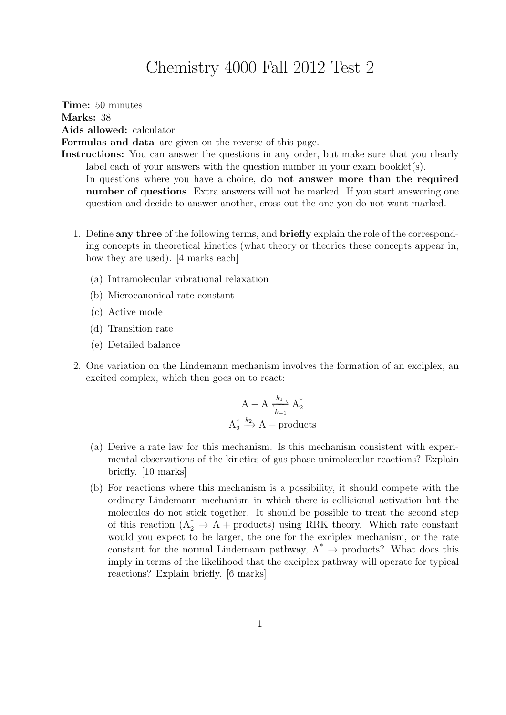## Chemistry 4000 Fall 2012 Test 2

Time: 50 minutes Marks: 38 Aids allowed: calculator Formulas and data are given on the reverse of this page. Instructions: You can answer the questions in any order, but make sure that you clearly

label each of your answers with the question number in your exam booklet(s). In questions where you have a choice, **do not answer more than the required** number of questions. Extra answers will not be marked. If you start answering one question and decide to answer another, cross out the one you do not want marked.

- 1. Define any three of the following terms, and briefly explain the role of the corresponding concepts in theoretical kinetics (what theory or theories these concepts appear in, how they are used). [4 marks each]
	- (a) Intramolecular vibrational relaxation
	- (b) Microcanonical rate constant
	- (c) Active mode
	- (d) Transition rate
	- (e) Detailed balance
- 2. One variation on the Lindemann mechanism involves the formation of an exciplex, an excited complex, which then goes on to react:

$$
A + A \xrightarrow[k_{-1}]{k_1} A_2^*
$$
  

$$
A_2^* \xrightarrow{k_2} A + \text{products}
$$

- (a) Derive a rate law for this mechanism. Is this mechanism consistent with experimental observations of the kinetics of gas-phase unimolecular reactions? Explain briefly. [10 marks]
- (b) For reactions where this mechanism is a possibility, it should compete with the ordinary Lindemann mechanism in which there is collisional activation but the molecules do not stick together. It should be possible to treat the second step of this reaction  $(A_2^* \rightarrow A +$  products) using RRK theory. Which rate constant would you expect to be larger, the one for the exciplex mechanism, or the rate constant for the normal Lindemann pathway,  $A^* \to$  products? What does this imply in terms of the likelihood that the exciplex pathway will operate for typical reactions? Explain briefly. [6 marks]